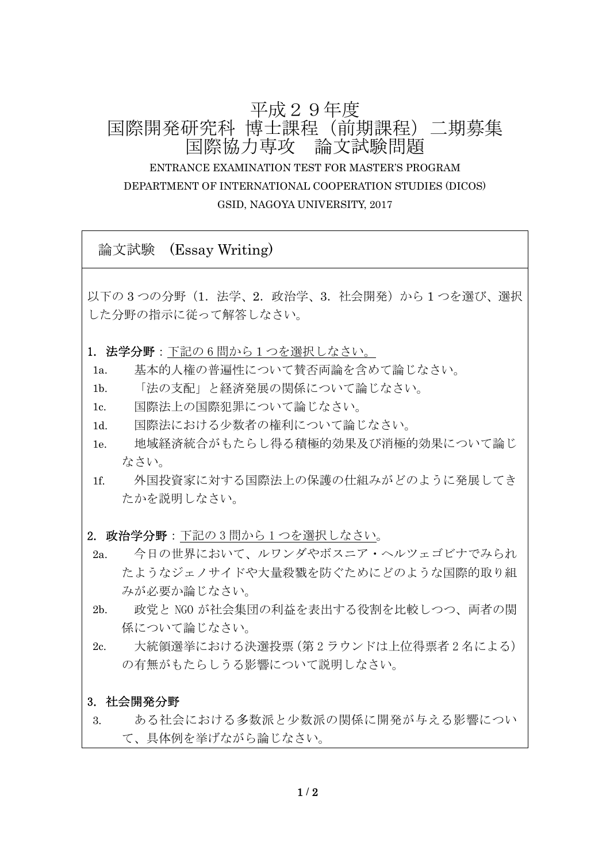# 平成29年度 国際開発研究科 博士課程(前期課程)二期募集 国際協力専攻 論文試験問題 ENTRANCE EXAMINATION TEST FOR MASTER'S PROGRAM DEPARTMENT OF INTERNATIONAL COOPERATION STUDIES (DICOS) GSID, NAGOYA UNIVERSITY, 2017

論文試験 (Essay Writing)

以下の 3 つの分野 (1. 法学、2. 政治学、3. 社会開発)から 1 つを選び、選択 した分野の指示に従って解答しなさい。

- 1. 法学分野:下記の 6 問から1つを選択しなさい。
- 1a. 基本的人権の普遍性について賛否両論を含めて論じなさい。
- 1b. 「法の支配」と経済発展の関係について論じなさい。
- 1c. 国際法上の国際犯罪について論じなさい。
- 1d. 国際法における少数者の権利について論じなさい。
- 1e. 地域経済統合がもたらし得る積極的効果及び消極的効果について論じ なさい。
- 1f. 外国投資家に対する国際法上の保護の仕組みがどのように発展してき たかを説明しなさい。
- 2. 政治学分野:下記の3問から1つを選択しなさい。
- 2a. 今日の世界において、ルワンダやボスニア・ヘルツェゴビナでみられ たようなジェノサイドや大量殺戮を防ぐためにどのような国際的取り組 みが必要か論じなさい。
- 2b. 政党と NGO が社会集団の利益を表出する役割を比較しつつ、両者の関 係について論じなさい。
- 2c. 大統領選挙における決選投票(第 2 ラウンドは上位得票者 2 名による) の有無がもたらしうる影響について説明しなさい。

#### 3. 社会開発分野

3. ある社会における多数派と少数派の関係に開発が与える影響につい て、具体例を挙げながら論じなさい。